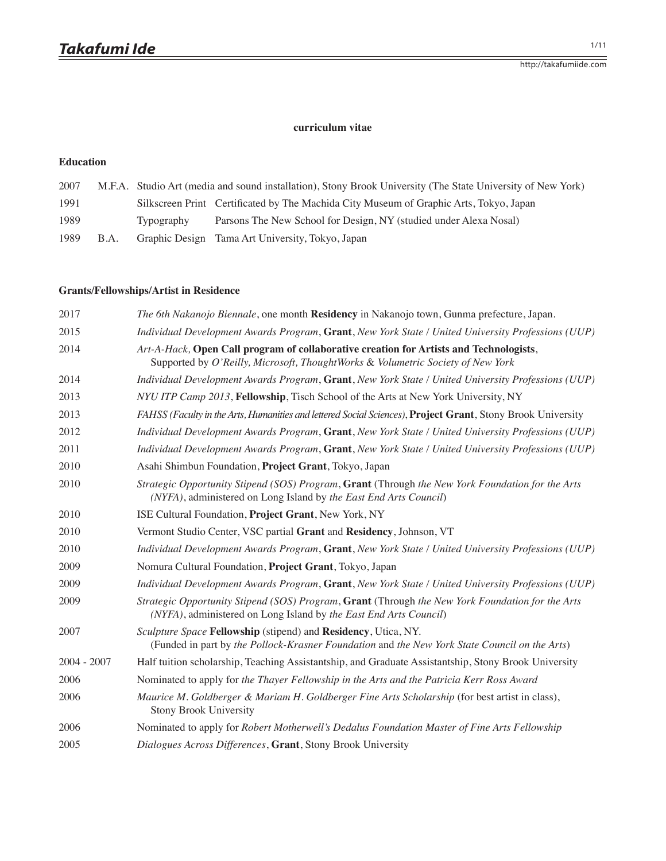# **curriculum vitae**

# **Education**

| 2007 |             |            | M.F.A. Studio Art (media and sound installation), Stony Brook University (The State University of New York) |
|------|-------------|------------|-------------------------------------------------------------------------------------------------------------|
| 1991 |             |            | Silkscreen Print Certificated by The Machida City Museum of Graphic Arts, Tokyo, Japan                      |
| 1989 |             | Typography | Parsons The New School for Design, NY (studied under Alexa Nosal)                                           |
| 1989 | <b>B.A.</b> |            | Graphic Design Tama Art University, Tokyo, Japan                                                            |

# **Grants/Fellowships/Artist in Residence**

| 2017          | The 6th Nakanojo Biennale, one month Residency in Nakanojo town, Gunma prefecture, Japan.                                                                                 |
|---------------|---------------------------------------------------------------------------------------------------------------------------------------------------------------------------|
| 2015          | Individual Development Awards Program, Grant, New York State / United University Professions (UUP)                                                                        |
| 2014          | Art-A-Hack, Open Call program of collaborative creation for Artists and Technologists,<br>Supported by O'Reilly, Microsoft, ThoughtWorks & Volumetric Society of New York |
| 2014          | Individual Development Awards Program, Grant, New York State / United University Professions (UUP)                                                                        |
| 2013          | NYU ITP Camp 2013, Fellowship, Tisch School of the Arts at New York University, NY                                                                                        |
| 2013          | FAHSS (Faculty in the Arts, Humanities and lettered Social Sciences), Project Grant, Stony Brook University                                                               |
| 2012          | Individual Development Awards Program, Grant, New York State / United University Professions (UUP)                                                                        |
| 2011          | Individual Development Awards Program, Grant, New York State / United University Professions (UUP)                                                                        |
| 2010          | Asahi Shimbun Foundation, Project Grant, Tokyo, Japan                                                                                                                     |
| 2010          | Strategic Opportunity Stipend (SOS) Program, Grant (Through the New York Foundation for the Arts<br>(NYFA), administered on Long Island by the East End Arts Council)     |
| 2010          | ISE Cultural Foundation, Project Grant, New York, NY                                                                                                                      |
| 2010          | Vermont Studio Center, VSC partial Grant and Residency, Johnson, VT                                                                                                       |
| 2010          | Individual Development Awards Program, Grant, New York State / United University Professions (UUP)                                                                        |
| 2009          | Nomura Cultural Foundation, Project Grant, Tokyo, Japan                                                                                                                   |
| 2009          | Individual Development Awards Program, Grant, New York State / United University Professions (UUP)                                                                        |
| 2009          | Strategic Opportunity Stipend (SOS) Program, Grant (Through the New York Foundation for the Arts<br>(NYFA), administered on Long Island by the East End Arts Council)     |
| 2007          | Sculpture Space Fellowship (stipend) and Residency, Utica, NY.<br>(Funded in part by the Pollock-Krasner Foundation and the New York State Council on the Arts)           |
| $2004 - 2007$ | Half tuition scholarship, Teaching Assistantship, and Graduate Assistantship, Stony Brook University                                                                      |
| 2006          | Nominated to apply for the Thayer Fellowship in the Arts and the Patricia Kerr Ross Award                                                                                 |
| 2006          | Maurice M. Goldberger & Mariam H. Goldberger Fine Arts Scholarship (for best artist in class),<br><b>Stony Brook University</b>                                           |
| 2006          | Nominated to apply for Robert Motherwell's Dedalus Foundation Master of Fine Arts Fellowship                                                                              |
| 2005          | Dialogues Across Differences, Grant, Stony Brook University                                                                                                               |
|               |                                                                                                                                                                           |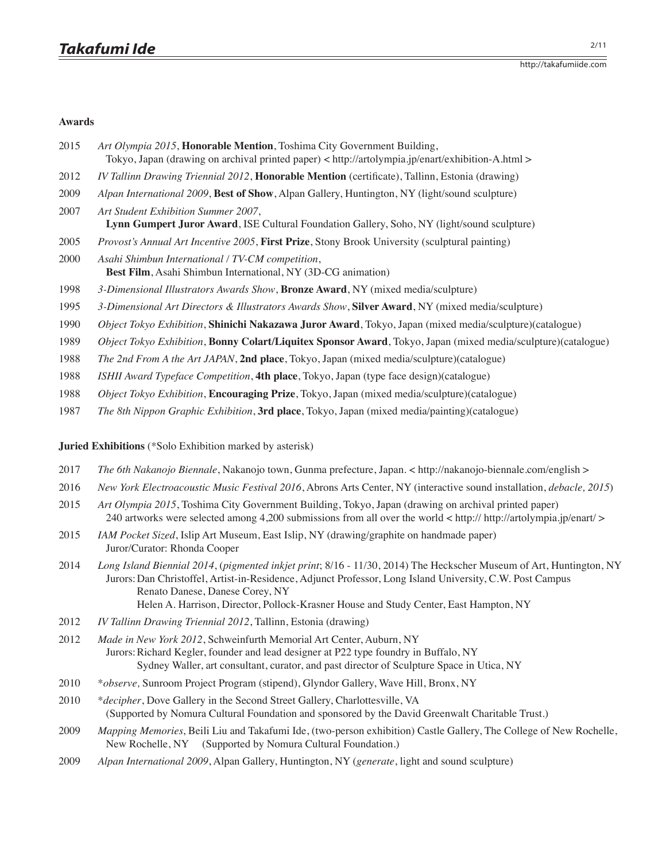# **Awards**

| 2015 | Art Olympia 2015, <b>Honorable Mention</b> , Toshima City Government Building,<br>Tokyo, Japan (drawing on archival printed paper) < http://artolympia.jp/enart/exhibition-A.html > |
|------|-------------------------------------------------------------------------------------------------------------------------------------------------------------------------------------|
| 2012 | <i>IV Tallinn Drawing Triennial 2012</i> , <b>Honorable Mention</b> (certificate), Tallinn, Estonia (drawing)                                                                       |
| 2009 | Alpan International 2009, Best of Show, Alpan Gallery, Huntington, NY (light/sound sculpture)                                                                                       |
| 2007 | Art Student Exhibition Summer 2007,                                                                                                                                                 |

- **Lynn Gumpert Juror Award**, ISE Cultural Foundation Gallery, Soho, NY (light/sound sculpture)
- *Provost's Annual Art Incentive 2005*, **First Prize**, Stony Brook University (sculptural painting)
- *Asahi Shimbun International / TV-CM competition*, **Best Film**, Asahi Shimbun International, NY (3D-CG animation)
- *3-Dimensional Illustrators Awards Show*, **Bronze Award**, NY (mixed media/sculpture)
- *3-Dimensional Art Directors & Illustrators Awards Show*, **Silver Award**, NY (mixed media/sculpture)
- *Object Tokyo Exhibition*, **Shinichi Nakazawa Juror Award**, Tokyo, Japan (mixed media/sculpture)(catalogue)
- *Object Tokyo Exhibition*, **Bonny Colart/Liquitex Sponsor Award**, Tokyo, Japan (mixed media/sculpture)(catalogue)
- *The 2nd From A the Art JAPAN*, **2nd place**, Tokyo, Japan (mixed media/sculpture)(catalogue)
- *ISHII Award Typeface Competition*, **4th place**, Tokyo, Japan (type face design)(catalogue)
- *Object Tokyo Exhibition*, **Encouraging Prize**, Tokyo, Japan (mixed media/sculpture)(catalogue)
- *The 8th Nippon Graphic Exhibition*, **3rd place**, Tokyo, Japan (mixed media/painting)(catalogue)

**Juried Exhibitions** (\*Solo Exhibition marked by asterisk)

- *The 6th Nakanojo Biennale*, Nakanojo town, Gunma prefecture, Japan. < http://nakanojo-biennale.com/english >
- *New York Electroacoustic Music Festival 2016*, Abrons Arts Center, NY (interactive sound installation, *debacle, 2015*)
- *Art Olympia 2015*, Toshima City Government Building, Tokyo, Japan (drawing on archival printed paper) artworks were selected among 4,200 submissions from all over the world < http:// http://artolympia.jp/enart/ >
- *IAM Pocket Sized*, Islip Art Museum, East Islip, NY (drawing/graphite on handmade paper) Juror/Curator: Rhonda Cooper
- *Long Island Biennial 2014*, (*pigmented inkjet print*; 8/16 11/30, 2014) The Heckscher Museum of Art, Huntington, NY Jurors: Dan Christoffel, Artist-in-Residence, Adjunct Professor, Long Island University, C.W. Post Campus Renato Danese, Danese Corey, NY Helen A. Harrison, Director, Pollock-Krasner House and Study Center, East Hampton, NY
	-
- *IV Tallinn Drawing Triennial 2012*, Tallinn, Estonia (drawing)
- *Made in New York 2012*, Schweinfurth Memorial Art Center, Auburn, NY Jurors: Richard Kegler, founder and lead designer at P22 type foundry in Buffalo, NY Sydney Waller, art consultant, curator, and past director of Sculpture Space in Utica, NY
- \**observe,* Sunroom Project Program (stipend), Glyndor Gallery, Wave Hill, Bronx, NY
- \**decipher*, Dove Gallery in the Second Street Gallery, Charlottesville, VA (Supported by Nomura Cultural Foundation and sponsored by the David Greenwalt Charitable Trust.)
- *Mapping Memories*, Beili Liu and Takafumi Ide, (two-person exhibition) Castle Gallery, The College of New Rochelle, New Rochelle, NY (Supported by Nomura Cultural Foundation.)
- *Alpan International 2009*, Alpan Gallery, Huntington, NY (*generate*, light and sound sculpture)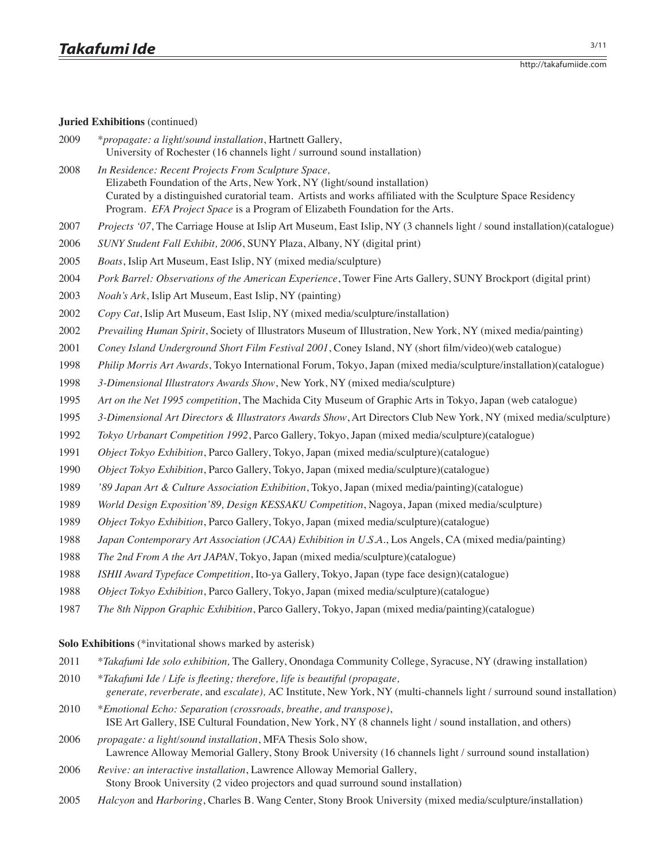# **Juried Exhibitions** (continued)

| 2009 | *propagate: a light/sound installation, Hartnett Gallery,<br>University of Rochester (16 channels light / surround sound installation)                                                                                                                                                                                           |
|------|----------------------------------------------------------------------------------------------------------------------------------------------------------------------------------------------------------------------------------------------------------------------------------------------------------------------------------|
| 2008 | In Residence: Recent Projects From Sculpture Space,<br>Elizabeth Foundation of the Arts, New York, NY (light/sound installation)<br>Curated by a distinguished curatorial team. Artists and works affiliated with the Sculpture Space Residency<br>Program. EFA Project Space is a Program of Elizabeth Foundation for the Arts. |
| 2007 | Projects '07, The Carriage House at Islip Art Museum, East Islip, NY (3 channels light / sound installation)(catalogue)                                                                                                                                                                                                          |
| 2006 | SUNY Student Fall Exhibit, 2006, SUNY Plaza, Albany, NY (digital print)                                                                                                                                                                                                                                                          |
| 2005 | Boats, Islip Art Museum, East Islip, NY (mixed media/sculpture)                                                                                                                                                                                                                                                                  |
| 2004 | Pork Barrel: Observations of the American Experience, Tower Fine Arts Gallery, SUNY Brockport (digital print)                                                                                                                                                                                                                    |
| 2003 | Noah's Ark, Islip Art Museum, East Islip, NY (painting)                                                                                                                                                                                                                                                                          |
| 2002 | Copy Cat, Islip Art Museum, East Islip, NY (mixed media/sculpture/installation)                                                                                                                                                                                                                                                  |
| 2002 | Prevailing Human Spirit, Society of Illustrators Museum of Illustration, New York, NY (mixed media/painting)                                                                                                                                                                                                                     |
| 2001 | Coney Island Underground Short Film Festival 2001, Coney Island, NY (short film/video)(web catalogue)                                                                                                                                                                                                                            |
| 1998 | Philip Morris Art Awards, Tokyo International Forum, Tokyo, Japan (mixed media/sculpture/installation)(catalogue)                                                                                                                                                                                                                |
| 1998 | 3-Dimensional Illustrators Awards Show, New York, NY (mixed media/sculpture)                                                                                                                                                                                                                                                     |
| 1995 | Art on the Net 1995 competition, The Machida City Museum of Graphic Arts in Tokyo, Japan (web catalogue)                                                                                                                                                                                                                         |
| 1995 | 3-Dimensional Art Directors & Illustrators Awards Show, Art Directors Club New York, NY (mixed media/sculpture)                                                                                                                                                                                                                  |
| 1992 | Tokyo Urbanart Competition 1992, Parco Gallery, Tokyo, Japan (mixed media/sculpture)(catalogue)                                                                                                                                                                                                                                  |
| 1991 | Object Tokyo Exhibition, Parco Gallery, Tokyo, Japan (mixed media/sculpture)(catalogue)                                                                                                                                                                                                                                          |
| 1990 | Object Tokyo Exhibition, Parco Gallery, Tokyo, Japan (mixed media/sculpture)(catalogue)                                                                                                                                                                                                                                          |
| 1989 | '89 Japan Art & Culture Association Exhibition, Tokyo, Japan (mixed media/painting)(catalogue)                                                                                                                                                                                                                                   |
| 1989 | World Design Exposition'89, Design KESSAKU Competition, Nagoya, Japan (mixed media/sculpture)                                                                                                                                                                                                                                    |
| 1989 | Object Tokyo Exhibition, Parco Gallery, Tokyo, Japan (mixed media/sculpture)(catalogue)                                                                                                                                                                                                                                          |
| 1988 | Japan Contemporary Art Association (JCAA) Exhibition in U.S.A., Los Angels, CA (mixed media/painting)                                                                                                                                                                                                                            |
| 1988 | The 2nd From A the Art JAPAN, Tokyo, Japan (mixed media/sculpture)(catalogue)                                                                                                                                                                                                                                                    |
| 1988 | ISHII Award Typeface Competition, Ito-ya Gallery, Tokyo, Japan (type face design)(catalogue)                                                                                                                                                                                                                                     |
| 1988 | Object Tokyo Exhibition, Parco Gallery, Tokyo, Japan (mixed media/sculpture)(catalogue)                                                                                                                                                                                                                                          |
| 1987 | The 8th Nippon Graphic Exhibition, Parco Gallery, Tokyo, Japan (mixed media/painting)(catalogue)                                                                                                                                                                                                                                 |
|      | Solo Exhibitions (*invitational shows marked by asterisk)                                                                                                                                                                                                                                                                        |
| 2011 | *Takafumi Ide solo exhibition, The Gallery, Onondaga Community College, Syracuse, NY (drawing installation)                                                                                                                                                                                                                      |
| 2010 | *Takafumi Ide / Life is fleeting; therefore, life is beautiful (propagate,<br>generate, reverberate, and escalate), AC Institute, New York, NY (multi-channels light / surround sound installation)                                                                                                                              |
| 2010 | *Emotional Echo: Separation (crossroads, breathe, and transpose),<br>ISE Art Gallery, ISE Cultural Foundation, New York, NY (8 channels light / sound installation, and others)                                                                                                                                                  |

 *propagate: a light/sound installation*, MFA Thesis Solo show, Lawrence Alloway Memorial Gallery, Stony Brook University (16 channels light / surround sound installation)

- *Revive: an interactive installation*, Lawrence Alloway Memorial Gallery, Stony Brook University (2 video projectors and quad surround sound installation)
- *Halcyon* and *Harboring*, Charles B. Wang Center, Stony Brook University (mixed media/sculpture/installation)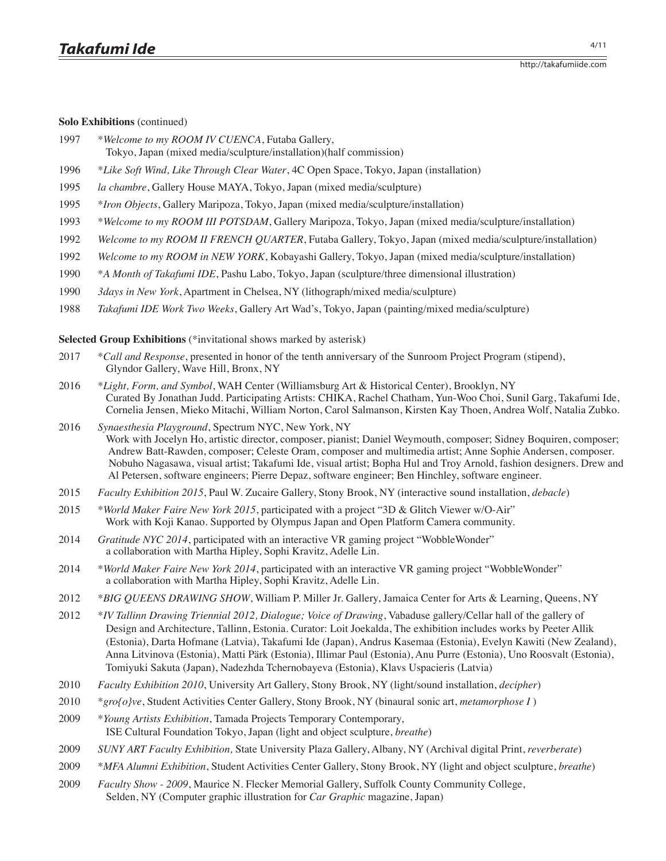# **Solo Exhibitions** (continued)

- 1997 \**Welcome to my ROOM IV CUENCA*, Futaba Gallery, Tokyo, Japan (mixed media/sculpture/installation)(half commission)
- 1996 \**Like Soft Wind, Like Through Clear Water*, 4C Open Space, Tokyo, Japan (installation)
- 1995 *la chambre*, Gallery House MAYA, Tokyo, Japan (mixed media/sculpture)
- 1995 \**Iron Objects*, Gallery Maripoza, Tokyo, Japan (mixed media/sculpture/installation)
- 1993 \**Welcome to my ROOM III POTSDAM*, Gallery Maripoza, Tokyo, Japan (mixed media/sculpture/installation)
- 1992 *Welcome to my ROOM II FRENCH QUARTER*, Futaba Gallery, Tokyo, Japan (mixed media/sculpture/installation)
- 1992 *Welcome to my ROOM in NEW YORK*, Kobayashi Gallery, Tokyo, Japan (mixed media/sculpture/installation)
- 1990 \**A Month of Takafumi IDE*, Pashu Labo, Tokyo, Japan (sculpture/three dimensional illustration)
- 1990 *3days in New York*, Apartment in Chelsea, NY (lithograph/mixed media/sculpture)
- 1988 *Takafumi IDE Work Two Weeks*, Gallery Art Wad's, Tokyo, Japan (painting/mixed media/sculpture)

**Selected Group Exhibitions** (\*invitational shows marked by asterisk)

- 2017 \**Call and Response*, presented in honor of the tenth anniversary of the Sunroom Project Program (stipend), Glyndor Gallery, Wave Hill, Bronx, NY
- 2016 \**Light, Form, and Symbol*, WAH Center (Williamsburg Art & Historical Center), Brooklyn, NY Curated By Jonathan Judd. Participating Artists: CHIKA, Rachel Chatham, Yun-Woo Choi, Sunil Garg, Takafumi Ide, Cornelia Jensen, Mieko Mitachi, William Norton, Carol Salmanson, Kirsten Kay Thoen, Andrea Wolf, Natalia Zubko.
- 2016 *Synaesthesia Playground*, Spectrum NYC, New York, NY Work with Jocelyn Ho, artistic director, composer, pianist; Daniel Weymouth, composer; Sidney Boquiren, composer; Andrew Batt-Rawden, composer; Celeste Oram, composer and multimedia artist; Anne Sophie Andersen, composer. Nobuho Nagasawa, visual artist; Takafumi Ide, visual artist; Bopha Hul and Troy Arnold, fashion designers. Drew and Al Petersen, software engineers; Pierre Depaz, software engineer; Ben Hinchley, software engineer.
- 2015 *Faculty Exhibition 2015*, Paul W. Zucaire Gallery, Stony Brook, NY (interactive sound installation, *debacle*)
- 2015 \**World Maker Faire New York 2015*, participated with a project "3D & Glitch Viewer w/O-Air" Work with Koji Kanao. Supported by Olympus Japan and Open Platform Camera community.
- 2014 *Gratitude NYC 2014*, participated with an interactive VR gaming project "WobbleWonder" a collaboration with Martha Hipley, Sophi Kravitz, Adelle Lin.
- 2014 \**World Maker Faire New York 2014*, participated with an interactive VR gaming project "WobbleWonder" a collaboration with Martha Hipley, Sophi Kravitz, Adelle Lin.
- 2012 \**BIG QUEENS DRAWING SHOW*, William P. Miller Jr. Gallery, Jamaica Center for Arts & Learning, Queens, NY
- 2012 \**IV Tallinn Drawing Triennial 2012, Dialogue; Voice of Drawing*, Vabaduse gallery/Cellar hall of the gallery of Design and Architecture, Tallinn, Estonia. Curator: Loit Joekalda, The exhibition includes works by Peeter Allik (Estonia), Darta Hofmane (Latvia), Takafumi Ide (Japan), Andrus Kasemaa (Estonia), Evelyn Kawiti (New Zealand), Anna Litvinova (Estonia), Matti Pärk (Estonia), Illimar Paul (Estonia), Anu Purre (Estonia), Uno Roosvalt (Estonia), Tomiyuki Sakuta (Japan), Nadezhda Tchernobayeva (Estonia), Klavs Uspacieris (Latvia)
- 2010 *Faculty Exhibition 2010*, University Art Gallery, Stony Brook, NY (light/sound installation, *decipher*)
- 2010 \**gro{o}ve*, Student Activities Center Gallery, Stony Brook, NY (binaural sonic art, *metamorphose I* )
- 2009 \**Young Artists Exhibition*, Tamada Projects Temporary Contemporary, ISE Cultural Foundation Tokyo, Japan (light and object sculpture, *breathe*)
- 2009 *SUNY ART Faculty Exhibition,* State University Plaza Gallery, Albany, NY (Archival digital Print, *reverberate*)
- 2009 \**MFA Alumni Exhibition*, Student Activities Center Gallery, Stony Brook, NY (light and object sculpture, *breathe*)
- 2009 *Faculty Show 2009*, Maurice N. Flecker Memorial Gallery, Suffolk County Community College, Selden, NY (Computer graphic illustration for *Car Graphic* magazine, Japan)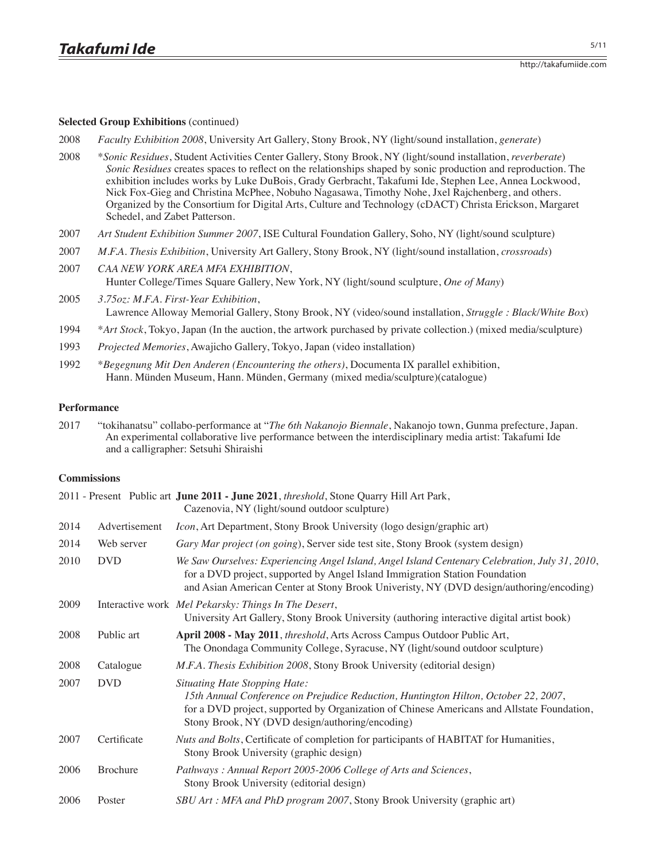# **Selected Group Exhibitions** (continued)

- 2008 *Faculty Exhibition 2008*, University Art Gallery, Stony Brook, NY (light/sound installation, *generate*)
- 2008 \**Sonic Residues*, Student Activities Center Gallery, Stony Brook, NY (light/sound installation, *reverberate*) *Sonic Residues* creates spaces to reflect on the relationships shaped by sonic production and reproduction. The exhibition includes works by Luke DuBois, Grady Gerbracht, Takafumi Ide, Stephen Lee, Annea Lockwood, Nick Fox-Gieg and Christina McPhee, Nobuho Nagasawa, Timothy Nohe, Jxel Rajchenberg, and others. Organized by the Consortium for Digital Arts, Culture and Technology (cDACT) Christa Erickson, Margaret Schedel, and Zabet Patterson.
- 2007 *Art Student Exhibition Summer 2007*, ISE Cultural Foundation Gallery, Soho, NY (light/sound sculpture)
- 2007 *M.F.A. Thesis Exhibition*, University Art Gallery, Stony Brook, NY (light/sound installation, *crossroads*)
- 2007 *CAA NEW YORK AREA MFA EXHIBITION*, Hunter College/Times Square Gallery, New York, NY (light/sound sculpture, *One of Many*)
- 2005 *3.75oz: M.F.A. First-Year Exhibition*, Lawrence Alloway Memorial Gallery, Stony Brook, NY (video/sound installation, *Struggle : Black/White Box*)
- 1994 \**Art Stock*, Tokyo, Japan (In the auction, the artwork purchased by private collection.) (mixed media/sculpture)
- 1993 *Projected Memories*, Awajicho Gallery, Tokyo, Japan (video installation)
- 1992 \**Begegnung Mit Den Anderen (Encountering the others)*, Documenta IX parallel exhibition, Hann. Münden Museum, Hann. Münden, Germany (mixed media/sculpture)(catalogue)

#### **Performance**

2017 "tokihanatsu" collabo-performance at "*The 6th Nakanojo Biennale*, Nakanojo town, Gunma prefecture, Japan. An experimental collaborative live performance between the interdisciplinary media artist: Takafumi Ide and a calligrapher: Setsuhi Shiraishi

#### **Commissions**

|      |               | 2011 - Present Public art June 2011 - June 2021, threshold, Stone Quarry Hill Art Park,<br>Cazenovia, NY (light/sound outdoor sculpture)                                                                                                                                     |
|------|---------------|------------------------------------------------------------------------------------------------------------------------------------------------------------------------------------------------------------------------------------------------------------------------------|
| 2014 | Advertisement | Icon, Art Department, Stony Brook University (logo design/graphic art)                                                                                                                                                                                                       |
| 2014 | Web server    | Gary Mar project (on going), Server side test site, Stony Brook (system design)                                                                                                                                                                                              |
| 2010 | <b>DVD</b>    | We Saw Ourselves: Experiencing Angel Island, Angel Island Centenary Celebration, July 31, 2010,<br>for a DVD project, supported by Angel Island Immigration Station Foundation<br>and Asian American Center at Stony Brook University, NY (DVD design/authoring/encoding)    |
| 2009 |               | Interactive work Mel Pekarsky: Things In The Desert,<br>University Art Gallery, Stony Brook University (authoring interactive digital artist book)                                                                                                                           |
| 2008 | Public art    | April 2008 - May 2011, threshold, Arts Across Campus Outdoor Public Art,<br>The Onondaga Community College, Syracuse, NY (light/sound outdoor sculpture)                                                                                                                     |
| 2008 | Catalogue     | M.F.A. Thesis Exhibition 2008, Stony Brook University (editorial design)                                                                                                                                                                                                     |
| 2007 | <b>DVD</b>    | <b>Situating Hate Stopping Hate:</b><br>15th Annual Conference on Prejudice Reduction, Huntington Hilton, October 22, 2007,<br>for a DVD project, supported by Organization of Chinese Americans and Allstate Foundation,<br>Stony Brook, NY (DVD design/authoring/encoding) |
| 2007 | Certificate   | Nuts and Bolts, Certificate of completion for participants of HABITAT for Humanities,<br>Stony Brook University (graphic design)                                                                                                                                             |
| 2006 | Brochure      | Pathways: Annual Report 2005-2006 College of Arts and Sciences,<br>Stony Brook University (editorial design)                                                                                                                                                                 |
| 2006 | Poster        | SBU Art: MFA and PhD program 2007, Stony Brook University (graphic art)                                                                                                                                                                                                      |
|      |               |                                                                                                                                                                                                                                                                              |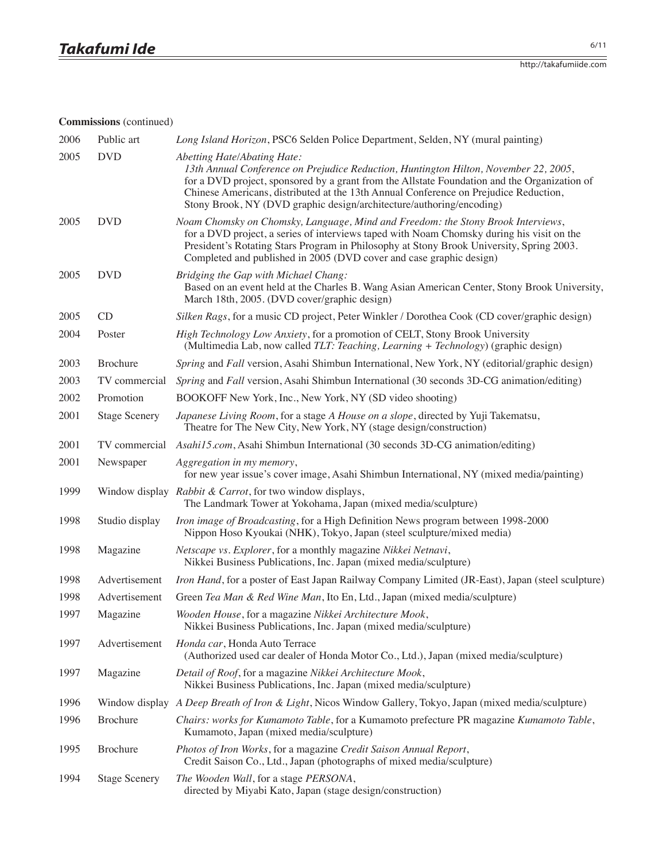| 2006 | Public art           | Long Island Horizon, PSC6 Selden Police Department, Selden, NY (mural painting)                                                                                                                                                                                                                                                                                                     |
|------|----------------------|-------------------------------------------------------------------------------------------------------------------------------------------------------------------------------------------------------------------------------------------------------------------------------------------------------------------------------------------------------------------------------------|
| 2005 | <b>DVD</b>           | Abetting Hate/Abating Hate:<br>13th Annual Conference on Prejudice Reduction, Huntington Hilton, November 22, 2005,<br>for a DVD project, sponsored by a grant from the Allstate Foundation and the Organization of<br>Chinese Americans, distributed at the 13th Annual Conference on Prejudice Reduction,<br>Stony Brook, NY (DVD graphic design/architecture/authoring/encoding) |
| 2005 | <b>DVD</b>           | Noam Chomsky on Chomsky, Language, Mind and Freedom: the Stony Brook Interviews,<br>for a DVD project, a series of interviews taped with Noam Chomsky during his visit on the<br>President's Rotating Stars Program in Philosophy at Stony Brook University, Spring 2003.<br>Completed and published in 2005 (DVD cover and case graphic design)                                    |
| 2005 | <b>DVD</b>           | Bridging the Gap with Michael Chang:<br>Based on an event held at the Charles B. Wang Asian American Center, Stony Brook University,<br>March 18th, 2005. (DVD cover/graphic design)                                                                                                                                                                                                |
| 2005 | CD                   | Silken Rags, for a music CD project, Peter Winkler / Dorothea Cook (CD cover/graphic design)                                                                                                                                                                                                                                                                                        |
| 2004 | Poster               | High Technology Low Anxiety, for a promotion of CELT, Stony Brook University<br>(Multimedia Lab, now called TLT: Teaching, Learning + Technology) (graphic design)                                                                                                                                                                                                                  |
| 2003 | <b>Brochure</b>      | Spring and Fall version, Asahi Shimbun International, New York, NY (editorial/graphic design)                                                                                                                                                                                                                                                                                       |
| 2003 | TV commercial        | Spring and Fall version, Asahi Shimbun International (30 seconds 3D-CG animation/editing)                                                                                                                                                                                                                                                                                           |
| 2002 | Promotion            | BOOKOFF New York, Inc., New York, NY (SD video shooting)                                                                                                                                                                                                                                                                                                                            |
| 2001 | <b>Stage Scenery</b> | Japanese Living Room, for a stage A House on a slope, directed by Yuji Takematsu,<br>Theatre for The New City, New York, NY (stage design/construction)                                                                                                                                                                                                                             |
| 2001 | TV commercial        | Asahi15.com, Asahi Shimbun International (30 seconds 3D-CG animation/editing)                                                                                                                                                                                                                                                                                                       |
| 2001 | Newspaper            | Aggregation in my memory,<br>for new year issue's cover image, Asahi Shimbun International, NY (mixed media/painting)                                                                                                                                                                                                                                                               |
| 1999 |                      | Window display Rabbit & Carrot, for two window displays,<br>The Landmark Tower at Yokohama, Japan (mixed media/sculpture)                                                                                                                                                                                                                                                           |
| 1998 | Studio display       | <i>Iron image of Broadcasting</i> , for a High Definition News program between 1998-2000<br>Nippon Hoso Kyoukai (NHK), Tokyo, Japan (steel sculpture/mixed media)                                                                                                                                                                                                                   |
| 1998 | Magazine             | Netscape vs. Explorer, for a monthly magazine Nikkei Netnavi,<br>Nikkei Business Publications, Inc. Japan (mixed media/sculpture)                                                                                                                                                                                                                                                   |
| 1998 | Advertisement        | Iron Hand, for a poster of East Japan Railway Company Limited (JR-East), Japan (steel sculpture)                                                                                                                                                                                                                                                                                    |
| 1998 | Advertisement        | Green Tea Man & Red Wine Man, Ito En, Ltd., Japan (mixed media/sculpture)                                                                                                                                                                                                                                                                                                           |
| 1997 | Magazine             | Wooden House, for a magazine Nikkei Architecture Mook,<br>Nikkei Business Publications, Inc. Japan (mixed media/sculpture)                                                                                                                                                                                                                                                          |
| 1997 | Advertisement        | Honda car, Honda Auto Terrace<br>(Authorized used car dealer of Honda Motor Co., Ltd.), Japan (mixed media/sculpture)                                                                                                                                                                                                                                                               |
| 1997 | Magazine             | Detail of Roof, for a magazine Nikkei Architecture Mook,<br>Nikkei Business Publications, Inc. Japan (mixed media/sculpture)                                                                                                                                                                                                                                                        |
| 1996 |                      | Window display A Deep Breath of Iron & Light, Nicos Window Gallery, Tokyo, Japan (mixed media/sculpture)                                                                                                                                                                                                                                                                            |
| 1996 | Brochure             | Chairs: works for Kumamoto Table, for a Kumamoto prefecture PR magazine Kumamoto Table,<br>Kumamoto, Japan (mixed media/sculpture)                                                                                                                                                                                                                                                  |
| 1995 | Brochure             | Photos of Iron Works, for a magazine Credit Saison Annual Report,<br>Credit Saison Co., Ltd., Japan (photographs of mixed media/sculpture)                                                                                                                                                                                                                                          |
| 1994 | <b>Stage Scenery</b> | The Wooden Wall, for a stage PERSONA,<br>directed by Miyabi Kato, Japan (stage design/construction)                                                                                                                                                                                                                                                                                 |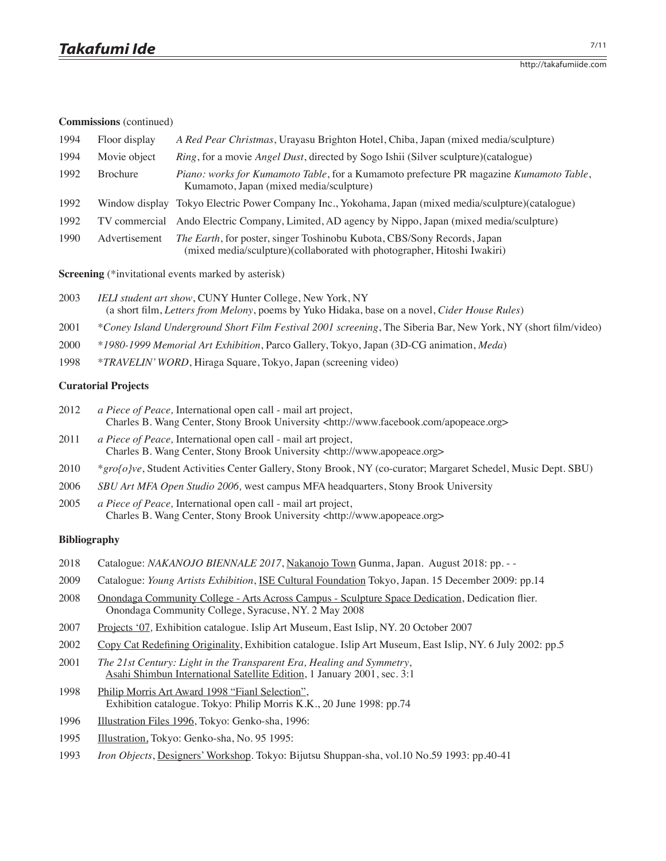# **Commissions** (continued)

| 1994 | Floor display | A Red Pear Christmas, Urayasu Brighton Hotel, Chiba, Japan (mixed media/sculpture)                                                                          |
|------|---------------|-------------------------------------------------------------------------------------------------------------------------------------------------------------|
| 1994 | Movie object  | <i>Ring</i> , for a movie <i>Angel Dust</i> , directed by Sogo Ishii (Silver sculpture)(catalogue)                                                          |
| 1992 | Brochure      | Piano: works for Kumamoto Table, for a Kumamoto prefecture PR magazine Kumamoto Table,<br>Kumamoto, Japan (mixed media/sculpture)                           |
| 1992 |               | Window display Tokyo Electric Power Company Inc., Yokohama, Japan (mixed media/sculpture)(catalogue)                                                        |
| 1992 |               | TV commercial Ando Electric Company, Limited, AD agency by Nippo, Japan (mixed media/sculpture)                                                             |
| 1990 | Advertisement | <i>The Earth</i> , for poster, singer Toshinobu Kubota, CBS/Sony Records, Japan<br>(mixed media/sculpture)(collaborated with photographer, Hitoshi Iwakiri) |

**Screening** (\*invitational events marked by asterisk)

- 2003 *IELI student art show*, CUNY Hunter College, New York, NY (a short film, *Letters from Melony*, poems by Yuko Hidaka, base on a novel, *Cider House Rules*)
- 2001 \**Coney Island Underground Short Film Festival 2001 screening*, The Siberia Bar, New York, NY (short film/video)
- 2000 \**1980-1999 Memorial Art Exhibition*, Parco Gallery, Tokyo, Japan (3D-CG animation, *Meda*)
- 1998 \**TRAVELIN' WORD*, Hiraga Square, Tokyo, Japan (screening video)

#### **Curatorial Projects**

- 2012 *a Piece of Peace,* International open call mail art project, Charles B. Wang Center, Stony Brook University <http://www.facebook.com/apopeace.org>
- 2011 *a Piece of Peace,* International open call mail art project, Charles B. Wang Center, Stony Brook University <http://www.apopeace.org>
- 2010 \**gro{o}ve*, Student Activities Center Gallery, Stony Brook, NY (co-curator; Margaret Schedel, Music Dept. SBU)
- 2006 *SBU Art MFA Open Studio 2006,* west campus MFA headquarters, Stony Brook University
- 2005 *a Piece of Peace,* International open call mail art project, Charles B. Wang Center, Stony Brook University <http://www.apopeace.org>

### **Bibliography**

- 2018 Catalogue: *NAKANOJO BIENNALE 2017*, Nakanojo Town Gunma, Japan. August 2018: pp. -
- 2009 Catalogue: *Young Artists Exhibition*, ISE Cultural Foundation Tokyo, Japan. 15 December 2009: pp.14
- 2008 Onondaga Community College Arts Across Campus Sculpture Space Dedication, Dedication flier. Onondaga Community College, Syracuse, NY. 2 May 2008
- 2007 Projects '07*,* Exhibition catalogue. Islip Art Museum, East Islip, NY. 20 October 2007
- 2002 Copy Cat Redefining Originality, Exhibition catalogue. Islip Art Museum, East Islip, NY. 6 July 2002: pp.5
- 2001 *The 21st Century: Light in the Transparent Era, Healing and Symmetry*, Asahi Shimbun International Satellite Edition, 1 January 2001, sec. 3:1
- 1998 Philip Morris Art Award 1998 "Fianl Selection", Exhibition catalogue. Tokyo: Philip Morris K.K., 20 June 1998: pp.74
- 1996 Illustration Files 1996, Tokyo: Genko-sha, 1996:
- 1995 Illustration, Tokyo: Genko-sha, No. 95 1995:
- 1993 *Iron Objects*, Designers' Workshop. Tokyo: Bijutsu Shuppan-sha, vol.10 No.59 1993: pp.40-41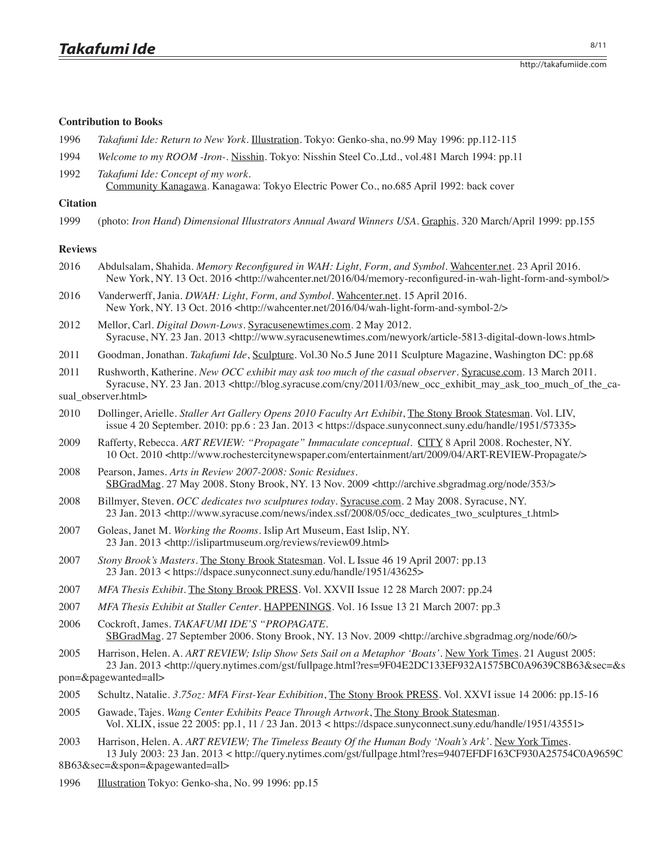#### **Contribution to Books**

- 1996 *Takafumi Ide: Return to New York*. Illustration. Tokyo: Genko-sha, no.99 May 1996: pp.112-115
- 1994 *Welcome to my ROOM -Iron-*. Nisshin. Tokyo: Nisshin Steel Co.,Ltd., vol.481 March 1994: pp.11
- 1992 *Takafumi Ide: Concept of my work*. Community Kanagawa. Kanagawa: Tokyo Electric Power Co., no.685 April 1992: back cover

# **Citation**

1999 (photo: *Iron Hand*) *Dimensional Illustrators Annual Award Winners USA*. Graphis. 320 March/April 1999: pp.155

#### **Reviews**

- 2016 Abdulsalam, Shahida. *Memory Reconfigured in WAH: Light, Form, and Symbol*. Wahcenter.net. 23 April 2016. New York, NY. 13 Oct. 2016 <http://wahcenter.net/2016/04/memory-reconfigured-in-wah-light-form-and-symbol/>
- 2016 Vanderwerff, Jania. *DWAH: Light, Form, and Symbol*. Wahcenter.net. 15 April 2016. New York, NY. 13 Oct. 2016 <http://wahcenter.net/2016/04/wah-light-form-and-symbol-2/>
- 2012 Mellor, Carl. *Digital Down-Lows*. Syracusenewtimes.com. 2 May 2012. Syracuse, NY. 23 Jan. 2013 <http://www.syracusenewtimes.com/newyork/article-5813-digital-down-lows.html>
- 2011 Goodman, Jonathan. *Takafumi Ide*, Sculpture. Vol.30 No.5 June 2011 Sculpture Magazine, Washington DC: pp.68
- 2011 Rushworth, Katherine. *New OCC exhibit may ask too much of the casual observer*. Syracuse.com. 13 March 2011. Syracuse, NY. 23 Jan. 2013 <http://blog.syracuse.com/cny/2011/03/new\_occ\_exhibit\_may\_ask\_too\_much\_of\_the\_casual\_observer.html>
- 2010 Dollinger, Arielle. *Staller Art Gallery Opens 2010 Faculty Art Exhibit*, The Stony Brook Statesman. Vol. LIV, issue 4 20 September. 2010: pp.6 : 23 Jan. 2013 < https://dspace.sunyconnect.suny.edu/handle/1951/57335>
- 2009 Rafferty, Rebecca. *ART REVIEW: "Propagate" Immaculate conceptual.* CITY 8 April 2008. Rochester, NY. 10 Oct. 2010 <http://www.rochestercitynewspaper.com/entertainment/art/2009/04/ART-REVIEW-Propagate/>
- 2008 Pearson, James. *Arts in Review 2007-2008: Sonic Residues*. SBGradMag. 27 May 2008. Stony Brook, NY. 13 Nov. 2009 <http://archive.sbgradmag.org/node/353/>
- 2008 Billmyer, Steven. *OCC dedicates two sculptures today*. Syracuse.com. 2 May 2008. Syracuse, NY. 23 Jan. 2013 <http://www.syracuse.com/news/index.ssf/2008/05/occ\_dedicates\_two\_sculptures\_t.html>
- 2007 Goleas, Janet M. *Working the Rooms*. Islip Art Museum, East Islip, NY. 23 Jan. 2013 <http://islipartmuseum.org/reviews/review09.html>
- 2007 *Stony Brook's Masters*. The Stony Brook Statesman. Vol. L Issue 46 19 April 2007: pp.13 23 Jan. 2013 < https://dspace.sunyconnect.suny.edu/handle/1951/43625>
- 2007 *MFA Thesis Exhibit*. The Stony Brook PRESS. Vol. XXVII Issue 12 28 March 2007: pp.24
- 2007 *MFA Thesis Exhibit at Staller Center*. HAPPENINGS. Vol. 16 Issue 13 21 March 2007: pp.3
- 2006 Cockroft, James. *TAKAFUMI IDE'S "PROPAGATE*. SBGradMag. 27 September 2006. Stony Brook, NY. 13 Nov. 2009 <http://archive.sbgradmag.org/node/60/>
- 2005 Harrison, Helen. A. *ART REVIEW; Islip Show Sets Sail on a Metaphor 'Boats'*. New York Times. 21 August 2005: 23 Jan. 2013 <http://query.nytimes.com/gst/fullpage.html?res=9F04E2DC133EF932A1575BC0A9639C8B63&sec=&s
- pon=&pagewanted=all>
- 2005 Schultz, Natalie. *3.75oz: MFA First-Year Exhibition*, The Stony Brook PRESS. Vol. XXVI issue 14 2006: pp.15-16
- 2005 Gawade, Tajes. *Wang Center Exhibits Peace Through Artwork*, The Stony Brook Statesman. Vol. XLIX, issue 22 2005: pp.1, 11 / 23 Jan. 2013 < https://dspace.sunyconnect.suny.edu/handle/1951/43551>
- 2003 Harrison, Helen. A. *ART REVIEW; The Timeless Beauty Of the Human Body 'Noah's Ark'*. New York Times. 13 July 2003: 23 Jan. 2013 < http://query.nytimes.com/gst/fullpage.html?res=9407EFDF163CF930A25754C0A9659C
- 8B63&sec=&spon=&pagewanted=all>
- 1996 Illustration Tokyo: Genko-sha, No. 99 1996: pp.15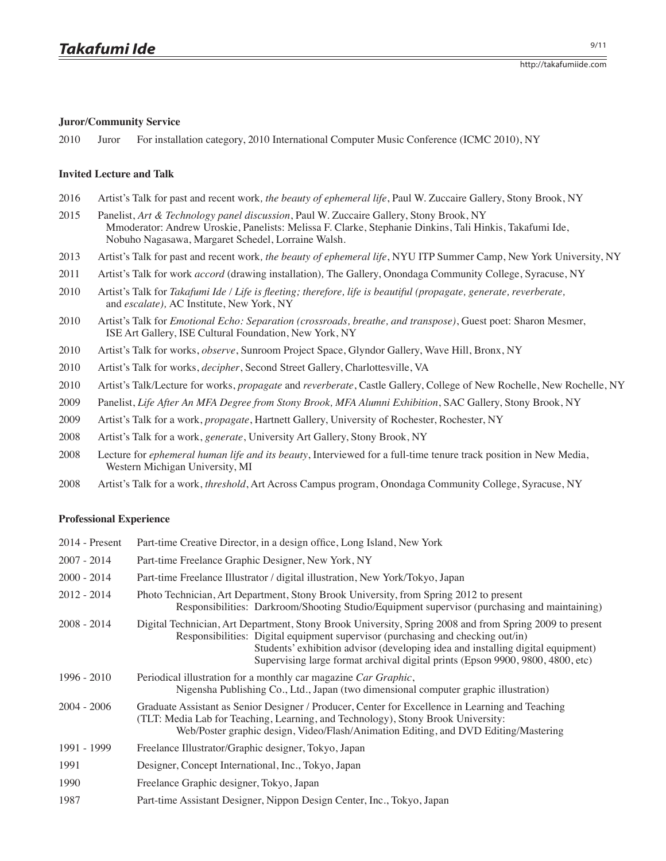### **Juror/Community Service**

2010 Juror For installation category, 2010 International Computer Music Conference (ICMC 2010), NY

#### **Invited Lecture and Talk**

- 2016 Artist's Talk for past and recent work*, the beauty of ephemeral life*, Paul W. Zuccaire Gallery, Stony Brook, NY
- 2015 Panelist, *Art & Technology panel discussion*, Paul W. Zuccaire Gallery, Stony Brook, NY Mmoderator: Andrew Uroskie, Panelists: Melissa F. Clarke, Stephanie Dinkins, Tali Hinkis, Takafumi Ide, Nobuho Nagasawa, Margaret Schedel, Lorraine Walsh.
- 2013 Artist's Talk for past and recent work*, the beauty of ephemeral life*, NYU ITP Summer Camp, New York University, NY
- 2011 Artist's Talk for work *accord* (drawing installation)*,* The Gallery, Onondaga Community College, Syracuse, NY
- 2010 Artist's Talk for *Takafumi Ide / Life is fleeting; therefore, life is beautiful (propagate, generate, reverberate,* and *escalate),* AC Institute, New York, NY
- 2010 Artist's Talk for *Emotional Echo: Separation (crossroads, breathe, and transpose)*, Guest poet: Sharon Mesmer, ISE Art Gallery, ISE Cultural Foundation, New York, NY
- 2010 Artist's Talk for works, *observe*, Sunroom Project Space, Glyndor Gallery, Wave Hill, Bronx, NY
- 2010 Artist's Talk for works, *decipher*, Second Street Gallery, Charlottesville, VA
- 2010 Artist's Talk/Lecture for works, *propagate* and *reverberate*, Castle Gallery, College of New Rochelle, New Rochelle, NY
- 2009 Panelist, *Life After An MFA Degree from Stony Brook, MFA Alumni Exhibition*, SAC Gallery, Stony Brook, NY
- 2009 Artist's Talk for a work, *propagate*, Hartnett Gallery, University of Rochester, Rochester, NY
- 2008 Artist's Talk for a work, *generate*, University Art Gallery, Stony Brook, NY
- 2008 Lecture for *ephemeral human life and its beauty*, Interviewed for a full-time tenure track position in New Media, Western Michigan University, MI
- 2008 Artist's Talk for a work, *threshold*, Art Across Campus program, Onondaga Community College, Syracuse, NY

#### **Professional Experience**

| $2014$ - Present | Part-time Creative Director, in a design office, Long Island, New York                                                                                                                                                                                                                                                                                          |  |
|------------------|-----------------------------------------------------------------------------------------------------------------------------------------------------------------------------------------------------------------------------------------------------------------------------------------------------------------------------------------------------------------|--|
| $2007 - 2014$    | Part-time Freelance Graphic Designer, New York, NY                                                                                                                                                                                                                                                                                                              |  |
| $2000 - 2014$    | Part-time Freelance Illustrator / digital illustration, New York/Tokyo, Japan                                                                                                                                                                                                                                                                                   |  |
| $2012 - 2014$    | Photo Technician, Art Department, Stony Brook University, from Spring 2012 to present<br>Responsibilities: Darkroom/Shooting Studio/Equipment supervisor (purchasing and maintaining)                                                                                                                                                                           |  |
| $2008 - 2014$    | Digital Technician, Art Department, Stony Brook University, Spring 2008 and from Spring 2009 to present<br>Responsibilities: Digital equipment supervisor (purchasing and checking out/in)<br>Students' exhibition advisor (developing idea and installing digital equipment)<br>Supervising large format archival digital prints (Epson 9900, 9800, 4800, etc) |  |
| 1996 - 2010      | Periodical illustration for a monthly car magazine Car Graphic,<br>Nigensha Publishing Co., Ltd., Japan (two dimensional computer graphic illustration)                                                                                                                                                                                                         |  |
| $2004 - 2006$    | Graduate Assistant as Senior Designer / Producer, Center for Excellence in Learning and Teaching<br>(TLT: Media Lab for Teaching, Learning, and Technology), Stony Brook University:<br>Web/Poster graphic design, Video/Flash/Animation Editing, and DVD Editing/Mastering                                                                                     |  |
| 1991 - 1999      | Freelance Illustrator/Graphic designer, Tokyo, Japan                                                                                                                                                                                                                                                                                                            |  |
| 1991             | Designer, Concept International, Inc., Tokyo, Japan                                                                                                                                                                                                                                                                                                             |  |
| 1990             | Freelance Graphic designer, Tokyo, Japan                                                                                                                                                                                                                                                                                                                        |  |
| 1987             | Part-time Assistant Designer, Nippon Design Center, Inc., Tokyo, Japan                                                                                                                                                                                                                                                                                          |  |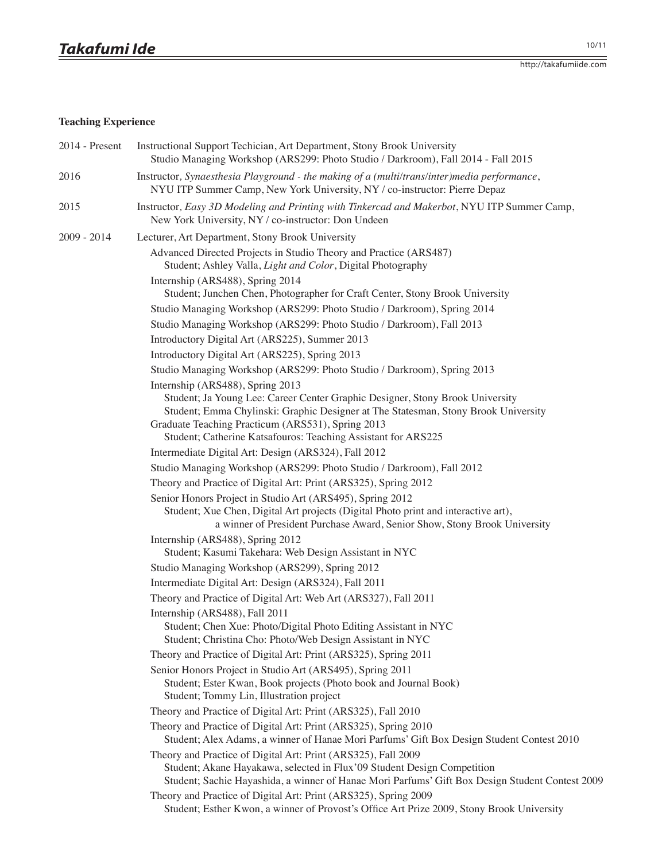# **Teaching Experience**

| 2014 - Present | Instructional Support Techician, Art Department, Stony Brook University<br>Studio Managing Workshop (ARS299: Photo Studio / Darkroom), Fall 2014 - Fall 2015                                                                                |
|----------------|---------------------------------------------------------------------------------------------------------------------------------------------------------------------------------------------------------------------------------------------|
| 2016           | Instructor, Synaesthesia Playground - the making of a (multi/trans/inter)media performance,<br>NYU ITP Summer Camp, New York University, NY / co-instructor: Pierre Depaz                                                                   |
| 2015           | Instructor, Easy 3D Modeling and Printing with Tinkercad and Makerbot, NYU ITP Summer Camp,<br>New York University, NY / co-instructor: Don Undeen                                                                                          |
| 2009 - 2014    | Lecturer, Art Department, Stony Brook University                                                                                                                                                                                            |
|                | Advanced Directed Projects in Studio Theory and Practice (ARS487)                                                                                                                                                                           |
|                | Student; Ashley Valla, Light and Color, Digital Photography                                                                                                                                                                                 |
|                | Internship (ARS488), Spring 2014                                                                                                                                                                                                            |
|                | Student; Junchen Chen, Photographer for Craft Center, Stony Brook University                                                                                                                                                                |
|                | Studio Managing Workshop (ARS299: Photo Studio / Darkroom), Spring 2014<br>Studio Managing Workshop (ARS299: Photo Studio / Darkroom), Fall 2013                                                                                            |
|                | Introductory Digital Art (ARS225), Summer 2013                                                                                                                                                                                              |
|                | Introductory Digital Art (ARS225), Spring 2013                                                                                                                                                                                              |
|                | Studio Managing Workshop (ARS299: Photo Studio / Darkroom), Spring 2013                                                                                                                                                                     |
|                | Internship (ARS488), Spring 2013                                                                                                                                                                                                            |
|                | Student; Ja Young Lee: Career Center Graphic Designer, Stony Brook University                                                                                                                                                               |
|                | Student; Emma Chylinski: Graphic Designer at The Statesman, Stony Brook University                                                                                                                                                          |
|                | Graduate Teaching Practicum (ARS531), Spring 2013                                                                                                                                                                                           |
|                | Student; Catherine Katsafouros: Teaching Assistant for ARS225                                                                                                                                                                               |
|                | Intermediate Digital Art: Design (ARS324), Fall 2012                                                                                                                                                                                        |
|                | Studio Managing Workshop (ARS299: Photo Studio / Darkroom), Fall 2012<br>Theory and Practice of Digital Art: Print (ARS325), Spring 2012                                                                                                    |
|                | Senior Honors Project in Studio Art (ARS495), Spring 2012                                                                                                                                                                                   |
|                | Student; Xue Chen, Digital Art projects (Digital Photo print and interactive art),<br>a winner of President Purchase Award, Senior Show, Stony Brook University                                                                             |
|                | Internship (ARS488), Spring 2012                                                                                                                                                                                                            |
|                | Student; Kasumi Takehara: Web Design Assistant in NYC                                                                                                                                                                                       |
|                | Studio Managing Workshop (ARS299), Spring 2012                                                                                                                                                                                              |
|                | Intermediate Digital Art: Design (ARS324), Fall 2011                                                                                                                                                                                        |
|                | Theory and Practice of Digital Art: Web Art (ARS327), Fall 2011                                                                                                                                                                             |
|                | Internship (ARS488), Fall 2011<br>Student; Chen Xue: Photo/Digital Photo Editing Assistant in NYC                                                                                                                                           |
|                | Student; Christina Cho: Photo/Web Design Assistant in NYC                                                                                                                                                                                   |
|                | Theory and Practice of Digital Art: Print (ARS325), Spring 2011                                                                                                                                                                             |
|                | Senior Honors Project in Studio Art (ARS495), Spring 2011                                                                                                                                                                                   |
|                | Student; Ester Kwan, Book projects (Photo book and Journal Book)<br>Student; Tommy Lin, Illustration project                                                                                                                                |
|                | Theory and Practice of Digital Art: Print (ARS325), Fall 2010                                                                                                                                                                               |
|                | Theory and Practice of Digital Art: Print (ARS325), Spring 2010<br>Student; Alex Adams, a winner of Hanae Mori Parfums' Gift Box Design Student Contest 2010                                                                                |
|                | Theory and Practice of Digital Art: Print (ARS325), Fall 2009<br>Student; Akane Hayakawa, selected in Flux'09 Student Design Competition<br>Student; Sachie Hayashida, a winner of Hanae Mori Parfums' Gift Box Design Student Contest 2009 |
|                | Theory and Practice of Digital Art: Print (ARS325), Spring 2009<br>Student; Esther Kwon, a winner of Provost's Office Art Prize 2009, Stony Brook University                                                                                |
|                |                                                                                                                                                                                                                                             |